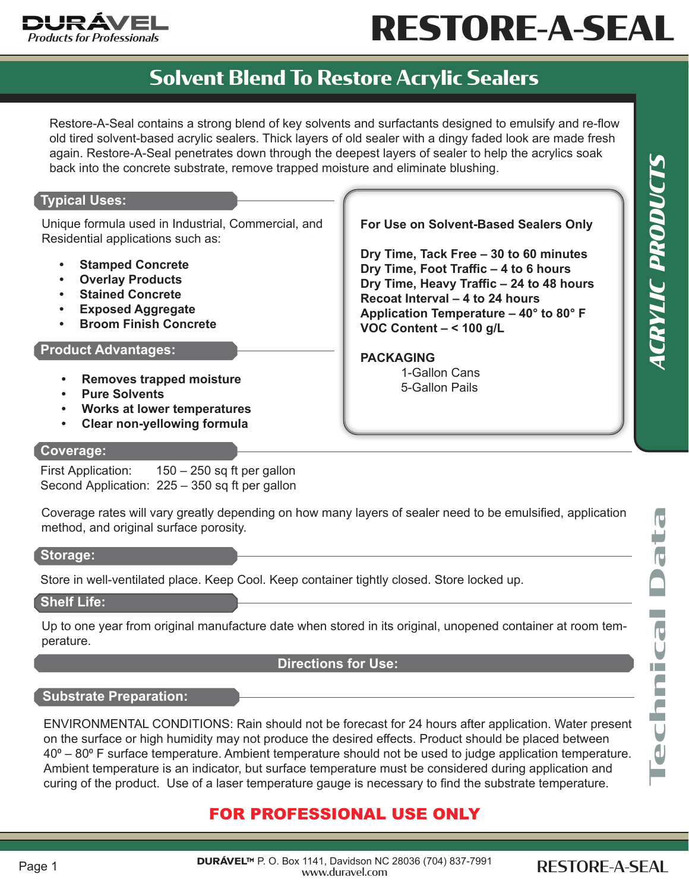

# RESTORE-A-SEAL

### **Solvent Blend To Restore Acrylic Sealers**

Restore-A-Seal contains a strong blend of key solvents and surfactants designed to emulsify and re-flow old tired solvent-based acrylic sealers. Thick layers of old sealer with a dingy faded look are made fresh again. Restore-A-Seal penetrates down through the deepest layers of sealer to help the acrylics soak back into the concrete substrate, remove trapped moisture and eliminate blushing.

#### **Typical Uses:**

Unique formula used in Industrial, Commercial, and Residential applications such as:

- **• Stamped Concrete**
- **• Overlay Products**
- **• Stained Concrete**
- **• Exposed Aggregate**
- **• Broom Finish Concrete**

#### **Product Advantages:**

- **Removes trapped moisture**<br> **• 1-Gallon Pails**<br> **1-Gallon Pails**
- **• Pure Solvents**
- **• Works at lower temperatures**
- **• Clear non-yellowing formula**

#### **For Use on Solvent-Based Sealers Only**

**Dry Time, Tack Free – 30 to 60 minutes Dry Time, Foot Traffic – 4 to 6 hours Dry Time, Heavy Traffic – 24 to 48 hours Recoat Interval – 4 to 24 hours Application Temperature – 40° to 80° F VOC Content – < 100 g/L** 

#### **PACKAGING**

1-Gallon Cans

#### **Coverage:**

First Application: 150 – 250 sq ft per gallon Second Application: 225 – 350 sq ft per gallon

Coverage rates will vary greatly depending on how many layers of sealer need to be emulsified, application method, and original surface porosity.

#### **Storage:**

Store in well-ventilated place. Keep Cool. Keep container tightly closed. Store locked up.

#### **Shelf Life:**

Up to one year from original manufacture date when stored in its original, unopened container at room temperature.

#### **Directions for Use:**

#### **Substrate Preparation:**

ENVIRONMENTAL CONDITIONS: Rain should not be forecast for 24 hours after application. Water present on the surface or high humidity may not produce the desired effects. Product should be placed between 40<sup>o</sup> – 80<sup>o</sup> F surface temperature. Ambient temperature should not be used to judge application temperature. Ambient temperature is an indicator, but surface temperature must be considered during application and curing of the product. Use of a laser temperature gauge is necessary to find the substrate temperature.

#### FOR PROFESSIONAL USE ONLY

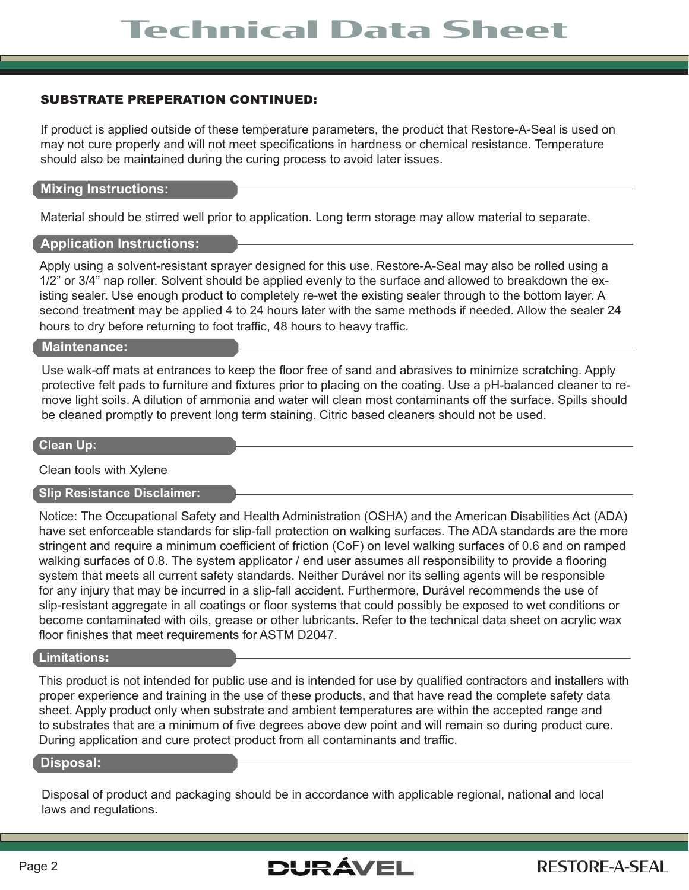#### SUBSTRATE PREPERATION CONTINUED:

If product is applied outside of these temperature parameters, the product that Restore-A-Seal is used on may not cure properly and will not meet specifications in hardness or chemical resistance. Temperature should also be maintained during the curing process to avoid later issues.

#### **Mixing Instructions:**

Material should be stirred well prior to application. Long term storage may allow material to separate.

#### **Application Instructions:**

Apply using a solvent-resistant sprayer designed for this use. Restore-A-Seal may also be rolled using a 1/2" or 3/4" nap roller. Solvent should be applied evenly to the surface and allowed to breakdown the existing sealer. Use enough product to completely re-wet the existing sealer through to the bottom layer. A second treatment may be applied 4 to 24 hours later with the same methods if needed. Allow the sealer 24 hours to dry before returning to foot traffic, 48 hours to heavy traffic.

#### **Maintenance:**

Use walk-off mats at entrances to keep the floor free of sand and abrasives to minimize scratching. Apply protective felt pads to furniture and fixtures prior to placing on the coating. Use a pH-balanced cleaner to remove light soils. A dilution of ammonia and water will clean most contaminants off the surface. Spills should be cleaned promptly to prevent long term staining. Citric based cleaners should not be used.

#### **Clean Up:**

Clean tools with Xylene

#### **Slip Resistance Disclaimer:**

Notice: The Occupational Safety and Health Administration (OSHA) and the American Disabilities Act (ADA) have set enforceable standards for slip-fall protection on walking surfaces. The ADA standards are the more stringent and require a minimum coefficient of friction (CoF) on level walking surfaces of 0.6 and on ramped walking surfaces of 0.8. The system applicator / end user assumes all responsibility to provide a flooring system that meets all current safety standards. Neither Durável nor its selling agents will be responsible for any injury that may be incurred in a slip-fall accident. Furthermore, Durável recommends the use of slip-resistant aggregate in all coatings or floor systems that could possibly be exposed to wet conditions or become contaminated with oils, grease or other lubricants. Refer to the technical data sheet on acrylic wax floor finishes that meet requirements for ASTM D2047.

#### **Limitations**:

This product is not intended for public use and is intended for use by qualified contractors and installers with proper experience and training in the use of these products, and that have read the complete safety data sheet. Apply product only when substrate and ambient temperatures are within the accepted range and to substrates that are a minimum of five degrees above dew point and will remain so during product cure. During application and cure protect product from all contaminants and traffic.

#### **Disposal:**

Disposal of product and packaging should be in accordance with applicable regional, national and local laws and regulations.